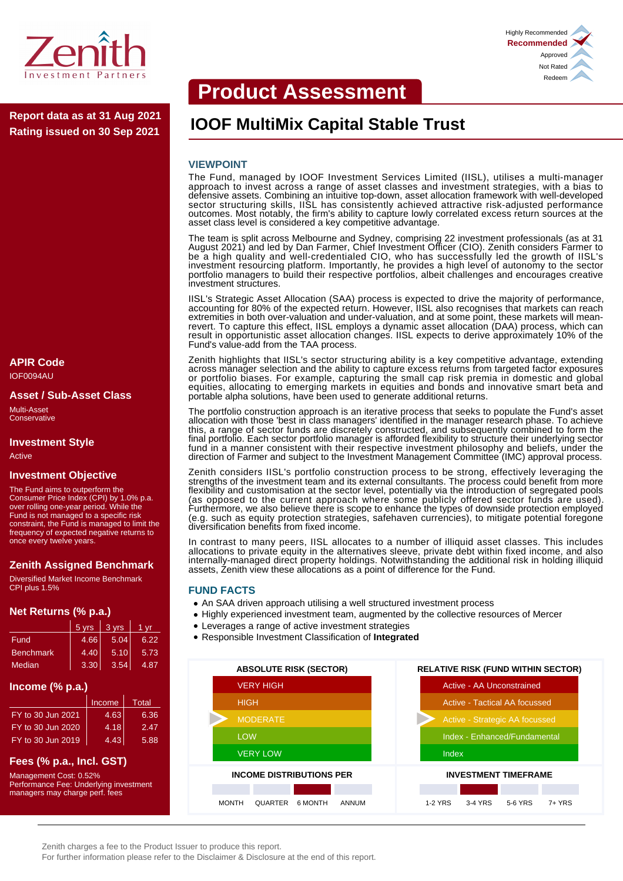

**Rating issued on 30 Sep 2021**

# **APIR Code**

IOF0094AU

#### **Asset / Sub-Asset Class**

Multi-Asset **Conservative** 

# **Investment Style**

Active

# **Investment Objective**

The Fund aims to outperform the Consumer Price Index (CPI) by 1.0% p.a. over rolling one-year period. While the Fund is not managed to a specific risk constraint, the Fund is managed to limit the frequency of expected negative returns to once every twelve years.

# **Zenith Assigned Benchmark**

Diversified Market Income Benchmark CPI plus 1.5%

#### **Net Returns (% p.a.)**

|                  | 5 yrs | 3 yrs | 1 vr |
|------------------|-------|-------|------|
| Fund             | 4.66  | 5.04  | 6.22 |
| <b>Benchmark</b> | 4.40  | 5.10  | 5.73 |
| Median           | 3.30  | 3.54  | 4.87 |

#### **Income (% p.a.)**

|                   | Income | Total |
|-------------------|--------|-------|
| FY to 30 Jun 2021 | 4.63   | 6.36  |
| FY to 30 Jun 2020 | 4.18   | 2.47  |
| FY to 30 Jun 2019 | 4.43   | 5.88  |

# **Fees (% p.a., Incl. GST)**

Management Cost: 0.52% Performance Fee: Underlying investment managers may charge perf. fees

# **Product Assessment**

# Report data as at 31 Aug 2021 **IOOF MultiMix Capital Stable Trust**

#### **VIEWPOINT**

The Fund, managed by IOOF Investment Services Limited (IISL), utilises a multi-manager approach to invest across a range of asset classes and investment strategies, with a bias to defensive assets. Combining an intuitive top-down, asset allocation framework with well-developed sector structuring skills, IISL has consistently achieved attractive risk-adjusted performance outcomes. Most notably, the firm's ability to capture lowly correlated excess return sources at the asset class level is considered a key competitive advantage.

The team is split across Melbourne and Sydney, comprising 22 investment professionals (as at 31 August 2021) and led by Dan Farmer, Chief Investment Officer (CIO). Zenith considers Farmer to be a high quality and well-credentialed CIO, who has successfully led the growth of IISL's investment resourcing platform. Importantly, he provides a high level of autonomy to the sector portfolio managers to build their respective portfolios, albeit challenges and encourages creative investment structures.

IISL's Strategic Asset Allocation (SAA) process is expected to drive the majority of performance, accounting for 80% of the expected return. However, IISL also recognises that markets can reach extremities in both over-valuation and under-valuation, and at some point, these markets will meanrevert. To capture this effect, IISL employs a dynamic asset allocation (DAA) process, which can result in opportunistic asset allocation changes. IISL expects to derive approximately 10% of the Fund's value-add from the TAA process.

Zenith highlights that IISL's sector structuring ability is a key competitive advantage, extending across manager selection and the ability to capture excess returns from targeted factor exposures or portfolio biases. For example, capturing the small cap risk premia in domestic and global equities, allocating to emerging markets in equities and bonds and innovative smart beta and portable alpha solutions, have been used to generate additional returns.

The portfolio construction approach is an iterative process that seeks to populate the Fund's asset allocation with those 'best in class managers' identified in the manager research phase. To achieve this, a range of sector funds are discretely constructed, and subsequently combined to form the final portfolio. Each sector portfolio manager is afforded flexibility to structure their underlying sector fund in a manner consistent with their respective investment philosophy and beliefs, under the direction of Farmer and subject to the Investment Management Committee (IMC) approval process.

Zenith considers IISL's portfolio construction process to be strong, effectively leveraging the strengths of the investment team and its external consultants. The process could benefit from more flexibility and customisation at the sector level, potentially via the introduction of segregated pools (as opposed to the current approach where some publicly offered sector funds are used). Furthermore, we also believe there is scope to enhance the types of downside protection employed (e.g. such as equity protection strategies, safehaven currencies), to mitigate potential foregone diversification benefits from fixed income.

In contrast to many peers, IISL allocates to a number of illiquid asset classes. This includes allocations to private equity in the alternatives sleeve, private debt within fixed income, and also internally-managed direct property holdings. Notwithstanding the additional risk in holding illiquid assets, Zenith view these allocations as a point of difference for the Fund.

#### **FUND FACTS**

- An SAA driven approach utilising a well structured investment process
- Highly experienced investment team, augmented by the collective resources of Mercer
- Leverages a range of active investment strategies
- Responsible Investment Classification of **Integrated**





Zenith charges a fee to the Product Issuer to produce this report.

For further information please refer to the Disclaimer & Disclosure at the end of this report.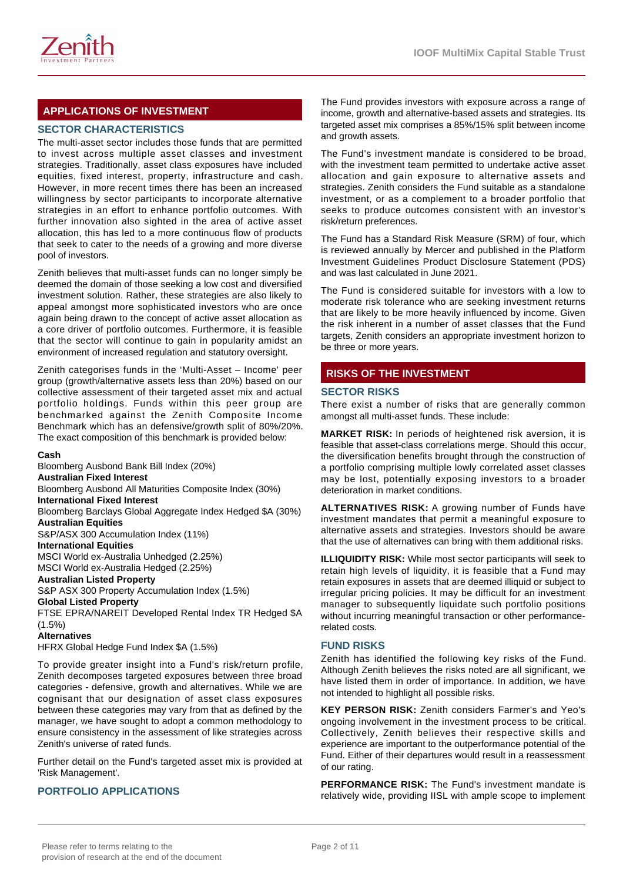

# **APPLICATIONS OF INVESTMENT**

# **SECTOR CHARACTERISTICS**

The multi-asset sector includes those funds that are permitted to invest across multiple asset classes and investment strategies. Traditionally, asset class exposures have included equities, fixed interest, property, infrastructure and cash. However, in more recent times there has been an increased willingness by sector participants to incorporate alternative strategies in an effort to enhance portfolio outcomes. With further innovation also sighted in the area of active asset allocation, this has led to a more continuous flow of products that seek to cater to the needs of a growing and more diverse pool of investors.

Zenith believes that multi-asset funds can no longer simply be deemed the domain of those seeking a low cost and diversified investment solution. Rather, these strategies are also likely to appeal amongst more sophisticated investors who are once again being drawn to the concept of active asset allocation as a core driver of portfolio outcomes. Furthermore, it is feasible that the sector will continue to gain in popularity amidst an environment of increased regulation and statutory oversight.

Zenith categorises funds in the 'Multi-Asset – Income' peer group (growth/alternative assets less than 20%) based on our collective assessment of their targeted asset mix and actual portfolio holdings. Funds within this peer group are benchmarked against the Zenith Composite Income Benchmark which has an defensive/growth split of 80%/20%. The exact composition of this benchmark is provided below:

#### **Cash**

Bloomberg Ausbond Bank Bill Index (20%) **Australian Fixed Interest** Bloomberg Ausbond All Maturities Composite Index (30%) **International Fixed Interest** Bloomberg Barclays Global Aggregate Index Hedged \$A (30%) **Australian Equities** S&P/ASX 300 Accumulation Index (11%) **International Equities** MSCI World ex-Australia Unhedged (2.25%) MSCI World ex-Australia Hedged (2.25%) **Australian Listed Property** S&P ASX 300 Property Accumulation Index (1.5%) **Global Listed Property** FTSE EPRA/NAREIT Developed Rental Index TR Hedged \$A (1.5%) **Alternatives** HFRX Global Hedge Fund Index \$A (1.5%)

To provide greater insight into a Fund's risk/return profile, Zenith decomposes targeted exposures between three broad categories - defensive, growth and alternatives. While we are cognisant that our designation of asset class exposures between these categories may vary from that as defined by the manager, we have sought to adopt a common methodology to ensure consistency in the assessment of like strategies across Zenith's universe of rated funds.

Further detail on the Fund's targeted asset mix is provided at 'Risk Management'.

# **PORTFOLIO APPLICATIONS**

The Fund provides investors with exposure across a range of income, growth and alternative-based assets and strategies. Its targeted asset mix comprises a 85%/15% split between income and growth assets.

The Fund's investment mandate is considered to be broad, with the investment team permitted to undertake active asset allocation and gain exposure to alternative assets and strategies. Zenith considers the Fund suitable as a standalone investment, or as a complement to a broader portfolio that seeks to produce outcomes consistent with an investor's risk/return preferences.

The Fund has a Standard Risk Measure (SRM) of four, which is reviewed annually by Mercer and published in the Platform Investment Guidelines Product Disclosure Statement (PDS) and was last calculated in June 2021.

The Fund is considered suitable for investors with a low to moderate risk tolerance who are seeking investment returns that are likely to be more heavily influenced by income. Given the risk inherent in a number of asset classes that the Fund targets, Zenith considers an appropriate investment horizon to be three or more years.

# **RISKS OF THE INVESTMENT**

#### **SECTOR RISKS**

There exist a number of risks that are generally common amongst all multi-asset funds. These include:

**MARKET RISK:** In periods of heightened risk aversion, it is feasible that asset-class correlations merge. Should this occur, the diversification benefits brought through the construction of a portfolio comprising multiple lowly correlated asset classes may be lost, potentially exposing investors to a broader deterioration in market conditions.

**ALTERNATIVES RISK:** A growing number of Funds have investment mandates that permit a meaningful exposure to alternative assets and strategies. Investors should be aware that the use of alternatives can bring with them additional risks.

**ILLIQUIDITY RISK:** While most sector participants will seek to retain high levels of liquidity, it is feasible that a Fund may retain exposures in assets that are deemed illiquid or subject to irregular pricing policies. It may be difficult for an investment manager to subsequently liquidate such portfolio positions without incurring meaningful transaction or other performancerelated costs.

# **FUND RISKS**

Zenith has identified the following key risks of the Fund. Although Zenith believes the risks noted are all significant, we have listed them in order of importance. In addition, we have not intended to highlight all possible risks.

**KEY PERSON RISK:** Zenith considers Farmer's and Yeo's ongoing involvement in the investment process to be critical. Collectively, Zenith believes their respective skills and experience are important to the outperformance potential of the Fund. Either of their departures would result in a reassessment of our rating.

**PERFORMANCE RISK:** The Fund's investment mandate is relatively wide, providing IISL with ample scope to implement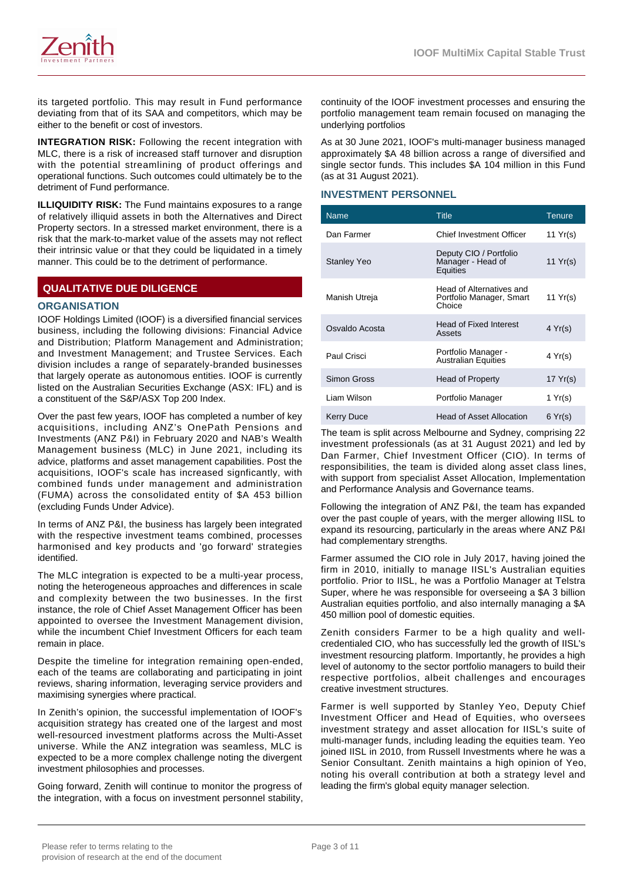

its targeted portfolio. This may result in Fund performance deviating from that of its SAA and competitors, which may be either to the benefit or cost of investors.

**INTEGRATION RISK:** Following the recent integration with MLC, there is a risk of increased staff turnover and disruption with the potential streamlining of product offerings and operational functions. Such outcomes could ultimately be to the detriment of Fund performance.

**ILLIQUIDITY RISK:** The Fund maintains exposures to a range of relatively illiquid assets in both the Alternatives and Direct Property sectors. In a stressed market environment, there is a risk that the mark-to-market value of the assets may not reflect their intrinsic value or that they could be liquidated in a timely manner. This could be to the detriment of performance.

# **QUALITATIVE DUE DILIGENCE**

#### **ORGANISATION**

IOOF Holdings Limited (IOOF) is a diversified financial services business, including the following divisions: Financial Advice and Distribution; Platform Management and Administration; and Investment Management; and Trustee Services. Each division includes a range of separately-branded businesses that largely operate as autonomous entities. IOOF is currently listed on the Australian Securities Exchange (ASX: IFL) and is a constituent of the S&P/ASX Top 200 Index.

Over the past few years, IOOF has completed a number of key acquisitions, including ANZ's OnePath Pensions and Investments (ANZ P&I) in February 2020 and NAB's Wealth Management business (MLC) in June 2021, including its advice, platforms and asset management capabilities. Post the acquisitions, IOOF's scale has increased signficantly, with combined funds under management and administration (FUMA) across the consolidated entity of \$A 453 billion (excluding Funds Under Advice).

In terms of ANZ P&I, the business has largely been integrated with the respective investment teams combined, processes harmonised and key products and 'go forward' strategies identified.

The MLC integration is expected to be a multi-year process, noting the heterogeneous approaches and differences in scale and complexity between the two businesses. In the first instance, the role of Chief Asset Management Officer has been appointed to oversee the Investment Management division, while the incumbent Chief Investment Officers for each team remain in place.

Despite the timeline for integration remaining open-ended, each of the teams are collaborating and participating in joint reviews, sharing information, leveraging service providers and maximising synergies where practical.

In Zenith's opinion, the successful implementation of IOOF's acquisition strategy has created one of the largest and most well-resourced investment platforms across the Multi-Asset universe. While the ANZ integration was seamless, MLC is expected to be a more complex challenge noting the divergent investment philosophies and processes.

Going forward, Zenith will continue to monitor the progress of the integration, with a focus on investment personnel stability,

continuity of the IOOF investment processes and ensuring the portfolio management team remain focused on managing the underlying portfolios

As at 30 June 2021, IOOF's multi-manager business managed approximately \$A 48 billion across a range of diversified and single sector funds. This includes \$A 104 million in this Fund (as at 31 August 2021).

#### **INVESTMENT PERSONNEL**

| <b>Name</b>        | <b>Title</b>                                                   | Tenure           |
|--------------------|----------------------------------------------------------------|------------------|
| Dan Farmer         | Chief Investment Officer                                       | 11 $Yr(s)$       |
| <b>Stanley Yeo</b> | Deputy CIO / Portfolio<br>Manager - Head of<br>Equities        | 11 Yr(s)         |
| Manish Utreja      | Head of Alternatives and<br>Portfolio Manager, Smart<br>Choice | 11 $Yr(s)$       |
| Osvaldo Acosta     | <b>Head of Fixed Interest</b><br>Assets                        | $4 \text{Yr(s)}$ |
| Paul Crisci        | Portfolio Manager -<br><b>Australian Equities</b>              | 4 Yr(s)          |
| Simon Gross        | <b>Head of Property</b>                                        | 17 $Yr(s)$       |
| Liam Wilson        | Portfolio Manager                                              | 1 $Yr(s)$        |
| Kerry Duce         | <b>Head of Asset Allocation</b>                                | 6 Yr(s)          |

The team is split across Melbourne and Sydney, comprising 22 investment professionals (as at 31 August 2021) and led by Dan Farmer, Chief Investment Officer (CIO). In terms of responsibilities, the team is divided along asset class lines, with support from specialist Asset Allocation, Implementation and Performance Analysis and Governance teams.

Following the integration of ANZ P&I, the team has expanded over the past couple of years, with the merger allowing IISL to expand its resourcing, particularly in the areas where ANZ P&I had complementary strengths.

Farmer assumed the CIO role in July 2017, having joined the firm in 2010, initially to manage IISL's Australian equities portfolio. Prior to IISL, he was a Portfolio Manager at Telstra Super, where he was responsible for overseeing a \$A 3 billion Australian equities portfolio, and also internally managing a \$A 450 million pool of domestic equities.

Zenith considers Farmer to be a high quality and wellcredentialed CIO, who has successfully led the growth of IISL's investment resourcing platform. Importantly, he provides a high level of autonomy to the sector portfolio managers to build their respective portfolios, albeit challenges and encourages creative investment structures.

Farmer is well supported by Stanley Yeo, Deputy Chief Investment Officer and Head of Equities, who oversees investment strategy and asset allocation for IISL's suite of multi-manager funds, including leading the equities team. Yeo joined IISL in 2010, from Russell Investments where he was a Senior Consultant. Zenith maintains a high opinion of Yeo, noting his overall contribution at both a strategy level and leading the firm's global equity manager selection.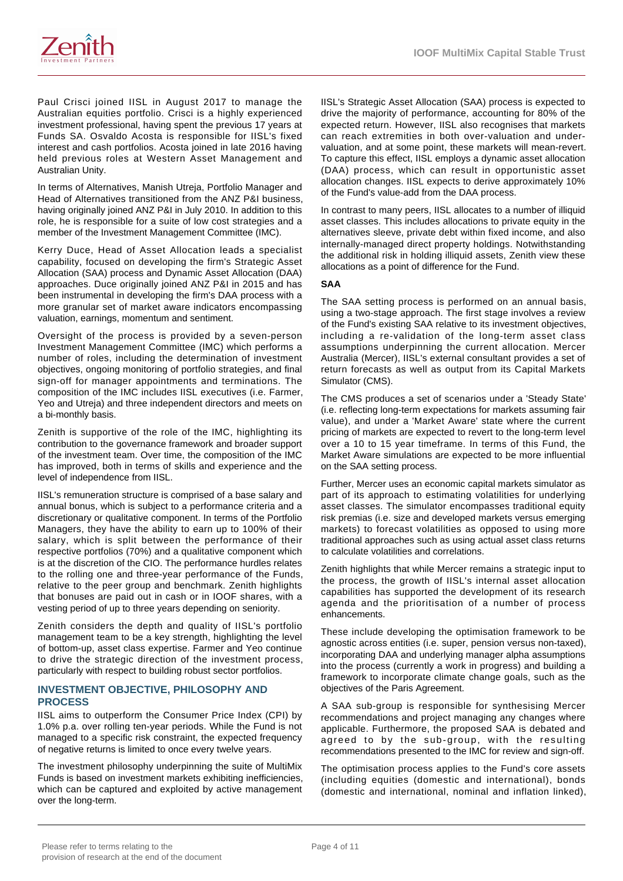Paul Crisci joined IISL in August 2017 to manage the Australian equities portfolio. Crisci is a highly experienced investment professional, having spent the previous 17 years at Funds SA. Osvaldo Acosta is responsible for IISL's fixed interest and cash portfolios. Acosta joined in late 2016 having held previous roles at Western Asset Management and Australian Unity.

In terms of Alternatives, Manish Utreja, Portfolio Manager and Head of Alternatives transitioned from the ANZ P&I business, having originally joined ANZ P&I in July 2010. In addition to this role, he is responsible for a suite of low cost strategies and a member of the Investment Management Committee (IMC).

Kerry Duce, Head of Asset Allocation leads a specialist capability, focused on developing the firm's Strategic Asset Allocation (SAA) process and Dynamic Asset Allocation (DAA) approaches. Duce originally joined ANZ P&I in 2015 and has been instrumental in developing the firm's DAA process with a more granular set of market aware indicators encompassing valuation, earnings, momentum and sentiment.

Oversight of the process is provided by a seven-person Investment Management Committee (IMC) which performs a number of roles, including the determination of investment objectives, ongoing monitoring of portfolio strategies, and final sign-off for manager appointments and terminations. The composition of the IMC includes IISL executives (i.e. Farmer, Yeo and Utreja) and three independent directors and meets on a bi-monthly basis.

Zenith is supportive of the role of the IMC, highlighting its contribution to the governance framework and broader support of the investment team. Over time, the composition of the IMC has improved, both in terms of skills and experience and the level of independence from IISL.

IISL's remuneration structure is comprised of a base salary and annual bonus, which is subject to a performance criteria and a discretionary or qualitative component. In terms of the Portfolio Managers, they have the ability to earn up to 100% of their salary, which is split between the performance of their respective portfolios (70%) and a qualitative component which is at the discretion of the CIO. The performance hurdles relates to the rolling one and three-year performance of the Funds, relative to the peer group and benchmark. Zenith highlights that bonuses are paid out in cash or in IOOF shares, with a vesting period of up to three years depending on seniority.

Zenith considers the depth and quality of IISL's portfolio management team to be a key strength, highlighting the level of bottom-up, asset class expertise. Farmer and Yeo continue to drive the strategic direction of the investment process, particularly with respect to building robust sector portfolios.

## **INVESTMENT OBJECTIVE, PHILOSOPHY AND PROCESS**

IISL aims to outperform the Consumer Price Index (CPI) by 1.0% p.a. over rolling ten-year periods. While the Fund is not managed to a specific risk constraint, the expected frequency of negative returns is limited to once every twelve years.

The investment philosophy underpinning the suite of MultiMix Funds is based on investment markets exhibiting inefficiencies, which can be captured and exploited by active management over the long-term.

IISL's Strategic Asset Allocation (SAA) process is expected to drive the majority of performance, accounting for 80% of the expected return. However, IISL also recognises that markets can reach extremities in both over-valuation and undervaluation, and at some point, these markets will mean-revert. To capture this effect, IISL employs a dynamic asset allocation (DAA) process, which can result in opportunistic asset allocation changes. IISL expects to derive approximately 10% of the Fund's value-add from the DAA process.

In contrast to many peers, IISL allocates to a number of illiquid asset classes. This includes allocations to private equity in the alternatives sleeve, private debt within fixed income, and also internally-managed direct property holdings. Notwithstanding the additional risk in holding illiquid assets, Zenith view these allocations as a point of difference for the Fund.

#### **SAA**

The SAA setting process is performed on an annual basis, using a two-stage approach. The first stage involves a review of the Fund's existing SAA relative to its investment objectives, including a re-validation of the long-term asset class assumptions underpinning the current allocation. Mercer Australia (Mercer), IISL's external consultant provides a set of return forecasts as well as output from its Capital Markets Simulator (CMS).

The CMS produces a set of scenarios under a 'Steady State' (i.e. reflecting long-term expectations for markets assuming fair value), and under a 'Market Aware' state where the current pricing of markets are expected to revert to the long-term level over a 10 to 15 year timeframe. In terms of this Fund, the Market Aware simulations are expected to be more influential on the SAA setting process.

Further, Mercer uses an economic capital markets simulator as part of its approach to estimating volatilities for underlying asset classes. The simulator encompasses traditional equity risk premias (i.e. size and developed markets versus emerging markets) to forecast volatilities as opposed to using more traditional approaches such as using actual asset class returns to calculate volatilities and correlations.

Zenith highlights that while Mercer remains a strategic input to the process, the growth of IISL's internal asset allocation capabilities has supported the development of its research agenda and the prioritisation of a number of process enhancements.

These include developing the optimisation framework to be agnostic across entities (i.e. super, pension versus non-taxed), incorporating DAA and underlying manager alpha assumptions into the process (currently a work in progress) and building a framework to incorporate climate change goals, such as the objectives of the Paris Agreement.

A SAA sub-group is responsible for synthesising Mercer recommendations and project managing any changes where applicable. Furthermore, the proposed SAA is debated and agreed to by the sub-group, with the resulting recommendations presented to the IMC for review and sign-off.

The optimisation process applies to the Fund's core assets (including equities (domestic and international), bonds (domestic and international, nominal and inflation linked),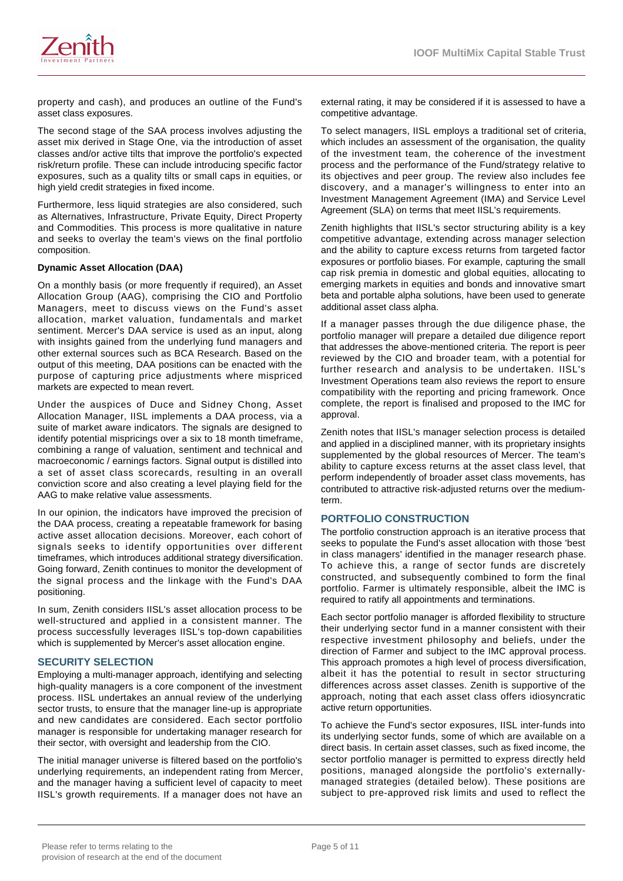

property and cash), and produces an outline of the Fund's asset class exposures.

The second stage of the SAA process involves adjusting the asset mix derived in Stage One, via the introduction of asset classes and/or active tilts that improve the portfolio's expected risk/return profile. These can include introducing specific factor exposures, such as a quality tilts or small caps in equities, or high yield credit strategies in fixed income.

Furthermore, less liquid strategies are also considered, such as Alternatives, Infrastructure, Private Equity, Direct Property and Commodities. This process is more qualitative in nature and seeks to overlay the team's views on the final portfolio composition.

#### **Dynamic Asset Allocation (DAA)**

On a monthly basis (or more frequently if required), an Asset Allocation Group (AAG), comprising the CIO and Portfolio Managers, meet to discuss views on the Fund's asset allocation, market valuation, fundamentals and market sentiment. Mercer's DAA service is used as an input, along with insights gained from the underlying fund managers and other external sources such as BCA Research. Based on the output of this meeting, DAA positions can be enacted with the purpose of capturing price adjustments where mispriced markets are expected to mean revert.

Under the auspices of Duce and Sidney Chong, Asset Allocation Manager, IISL implements a DAA process, via a suite of market aware indicators. The signals are designed to identify potential mispricings over a six to 18 month timeframe, combining a range of valuation, sentiment and technical and macroeconomic / earnings factors. Signal output is distilled into a set of asset class scorecards, resulting in an overall conviction score and also creating a level playing field for the AAG to make relative value assessments.

In our opinion, the indicators have improved the precision of the DAA process, creating a repeatable framework for basing active asset allocation decisions. Moreover, each cohort of signals seeks to identify opportunities over different timeframes, which introduces additional strategy diversification. Going forward, Zenith continues to monitor the development of the signal process and the linkage with the Fund's DAA positioning.

In sum, Zenith considers IISL's asset allocation process to be well-structured and applied in a consistent manner. The process successfully leverages IISL's top-down capabilities which is supplemented by Mercer's asset allocation engine.

# **SECURITY SELECTION**

Employing a multi-manager approach, identifying and selecting high-quality managers is a core component of the investment process. IISL undertakes an annual review of the underlying sector trusts, to ensure that the manager line-up is appropriate and new candidates are considered. Each sector portfolio manager is responsible for undertaking manager research for their sector, with oversight and leadership from the CIO.

The initial manager universe is filtered based on the portfolio's underlying requirements, an independent rating from Mercer, and the manager having a sufficient level of capacity to meet IISL's growth requirements. If a manager does not have an

external rating, it may be considered if it is assessed to have a competitive advantage.

To select managers, IISL employs a traditional set of criteria, which includes an assessment of the organisation, the quality of the investment team, the coherence of the investment process and the performance of the Fund/strategy relative to its objectives and peer group. The review also includes fee discovery, and a manager's willingness to enter into an Investment Management Agreement (IMA) and Service Level Agreement (SLA) on terms that meet IISL's requirements.

Zenith highlights that IISL's sector structuring ability is a key competitive advantage, extending across manager selection and the ability to capture excess returns from targeted factor exposures or portfolio biases. For example, capturing the small cap risk premia in domestic and global equities, allocating to emerging markets in equities and bonds and innovative smart beta and portable alpha solutions, have been used to generate additional asset class alpha.

If a manager passes through the due diligence phase, the portfolio manager will prepare a detailed due diligence report that addresses the above-mentioned criteria. The report is peer reviewed by the CIO and broader team, with a potential for further research and analysis to be undertaken. IISL's Investment Operations team also reviews the report to ensure compatibility with the reporting and pricing framework. Once complete, the report is finalised and proposed to the IMC for approval.

Zenith notes that IISL's manager selection process is detailed and applied in a disciplined manner, with its proprietary insights supplemented by the global resources of Mercer. The team's ability to capture excess returns at the asset class level, that perform independently of broader asset class movements, has contributed to attractive risk-adjusted returns over the mediumterm.

#### **PORTFOLIO CONSTRUCTION**

The portfolio construction approach is an iterative process that seeks to populate the Fund's asset allocation with those 'best in class managers' identified in the manager research phase. To achieve this, a range of sector funds are discretely constructed, and subsequently combined to form the final portfolio. Farmer is ultimately responsible, albeit the IMC is required to ratify all appointments and terminations.

Each sector portfolio manager is afforded flexibility to structure their underlying sector fund in a manner consistent with their respective investment philosophy and beliefs, under the direction of Farmer and subject to the IMC approval process. This approach promotes a high level of process diversification, albeit it has the potential to result in sector structuring differences across asset classes. Zenith is supportive of the approach, noting that each asset class offers idiosyncratic active return opportunities.

To achieve the Fund's sector exposures, IISL inter-funds into its underlying sector funds, some of which are available on a direct basis. In certain asset classes, such as fixed income, the sector portfolio manager is permitted to express directly held positions, managed alongside the portfolio's externallymanaged strategies (detailed below). These positions are subject to pre-approved risk limits and used to reflect the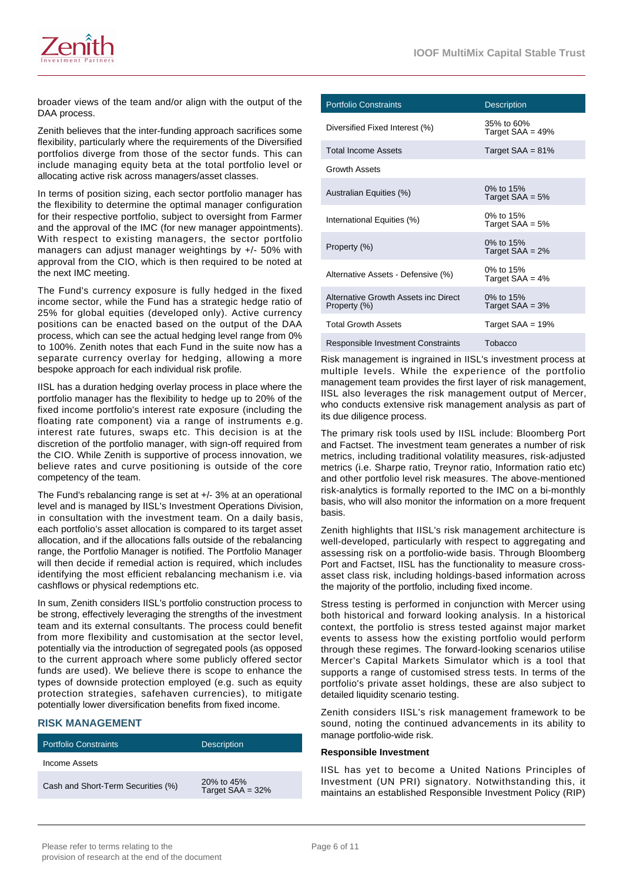

broader views of the team and/or align with the output of the DAA process.

Zenith believes that the inter-funding approach sacrifices some flexibility, particularly where the requirements of the Diversified portfolios diverge from those of the sector funds. This can include managing equity beta at the total portfolio level or allocating active risk across managers/asset classes.

In terms of position sizing, each sector portfolio manager has the flexibility to determine the optimal manager configuration for their respective portfolio, subject to oversight from Farmer and the approval of the IMC (for new manager appointments). With respect to existing managers, the sector portfolio managers can adjust manager weightings by +/- 50% with approval from the CIO, which is then required to be noted at the next IMC meeting.

The Fund's currency exposure is fully hedged in the fixed income sector, while the Fund has a strategic hedge ratio of 25% for global equities (developed only). Active currency positions can be enacted based on the output of the DAA process, which can see the actual hedging level range from 0% to 100%. Zenith notes that each Fund in the suite now has a separate currency overlay for hedging, allowing a more bespoke approach for each individual risk profile.

IISL has a duration hedging overlay process in place where the portfolio manager has the flexibility to hedge up to 20% of the fixed income portfolio's interest rate exposure (including the floating rate component) via a range of instruments e.g. interest rate futures, swaps etc. This decision is at the discretion of the portfolio manager, with sign-off required from the CIO. While Zenith is supportive of process innovation, we believe rates and curve positioning is outside of the core competency of the team.

The Fund's rebalancing range is set at +/- 3% at an operational level and is managed by IISL's Investment Operations Division, in consultation with the investment team. On a daily basis, each portfolio's asset allocation is compared to its target asset allocation, and if the allocations falls outside of the rebalancing range, the Portfolio Manager is notified. The Portfolio Manager will then decide if remedial action is required, which includes identifying the most efficient rebalancing mechanism i.e. via cashflows or physical redemptions etc.

In sum, Zenith considers IISL's portfolio construction process to be strong, effectively leveraging the strengths of the investment team and its external consultants. The process could benefit from more flexibility and customisation at the sector level, potentially via the introduction of segregated pools (as opposed to the current approach where some publicly offered sector funds are used). We believe there is scope to enhance the types of downside protection employed (e.g. such as equity protection strategies, safehaven currencies), to mitigate potentially lower diversification benefits from fixed income.

#### **RISK MANAGEMENT**

| <b>Portfolio Constraints</b>       | <b>Description</b>                 |
|------------------------------------|------------------------------------|
| Income Assets                      |                                    |
| Cash and Short-Term Securities (%) | 20\% to 45\%<br>Target $SAA = 32%$ |

| <b>Portfolio Constraints</b>                         | <b>Description</b>                |
|------------------------------------------------------|-----------------------------------|
| Diversified Fixed Interest (%)                       | 35% to 60%<br>Target $SAA = 49\%$ |
| <b>Total Income Assets</b>                           | Target $SAA = 81%$                |
| <b>Growth Assets</b>                                 |                                   |
| Australian Equities (%)                              | 0% to 15%<br>Target $SAA = 5%$    |
| International Equities (%)                           | 0% to 15%<br>Target $SAA = 5%$    |
| Property (%)                                         | 0% to 15%<br>Target $SAA = 2%$    |
| Alternative Assets - Defensive (%)                   | 0% to 15%<br>Target $SAA = 4%$    |
| Alternative Growth Assets inc Direct<br>Property (%) | 0% to 15%<br>Target $SAA = 3%$    |
| <b>Total Growth Assets</b>                           | Target $SAA = 19%$                |
| Responsible Investment Constraints                   | Tobacco                           |

Risk management is ingrained in IISL's investment process at multiple levels. While the experience of the portfolio management team provides the first layer of risk management, IISL also leverages the risk management output of Mercer, who conducts extensive risk management analysis as part of its due diligence process.

The primary risk tools used by IISL include: Bloomberg Port and Factset. The investment team generates a number of risk metrics, including traditional volatility measures, risk-adjusted metrics (i.e. Sharpe ratio, Treynor ratio, Information ratio etc) and other portfolio level risk measures. The above-mentioned risk-analytics is formally reported to the IMC on a bi-monthly basis, who will also monitor the information on a more frequent basis.

Zenith highlights that IISL's risk management architecture is well-developed, particularly with respect to aggregating and assessing risk on a portfolio-wide basis. Through Bloomberg Port and Factset, IISL has the functionality to measure crossasset class risk, including holdings-based information across the majority of the portfolio, including fixed income.

Stress testing is performed in conjunction with Mercer using both historical and forward looking analysis. In a historical context, the portfolio is stress tested against major market events to assess how the existing portfolio would perform through these regimes. The forward-looking scenarios utilise Mercer's Capital Markets Simulator which is a tool that supports a range of customised stress tests. In terms of the portfolio's private asset holdings, these are also subject to detailed liquidity scenario testing.

Zenith considers IISL's risk management framework to be sound, noting the continued advancements in its ability to manage portfolio-wide risk.

#### **Responsible Investment**

IISL has yet to become a United Nations Principles of Investment (UN PRI) signatory. Notwithstanding this, it maintains an established Responsible Investment Policy (RIP)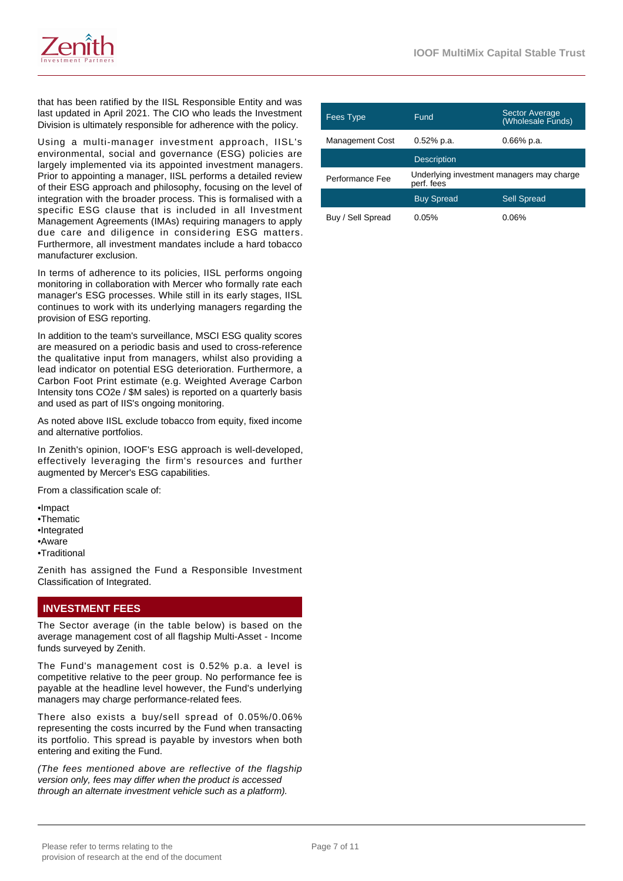

that has been ratified by the IISL Responsible Entity and was last updated in April 2021. The CIO who leads the Investment Division is ultimately responsible for adherence with the policy.

Using a multi-manager investment approach, IISL's environmental, social and governance (ESG) policies are largely implemented via its appointed investment managers. Prior to appointing a manager, IISL performs a detailed review of their ESG approach and philosophy, focusing on the level of integration with the broader process. This is formalised with a specific ESG clause that is included in all Investment Management Agreements (IMAs) requiring managers to apply due care and diligence in considering ESG matters. Furthermore, all investment mandates include a hard tobacco manufacturer exclusion.

In terms of adherence to its policies, IISL performs ongoing monitoring in collaboration with Mercer who formally rate each manager's ESG processes. While still in its early stages, IISL continues to work with its underlying managers regarding the provision of ESG reporting.

In addition to the team's surveillance, MSCI ESG quality scores are measured on a periodic basis and used to cross-reference the qualitative input from managers, whilst also providing a lead indicator on potential ESG deterioration. Furthermore, a Carbon Foot Print estimate (e.g. Weighted Average Carbon Intensity tons CO2e / \$M sales) is reported on a quarterly basis and used as part of IIS's ongoing monitoring.

As noted above IISL exclude tobacco from equity, fixed income and alternative portfolios.

In Zenith's opinion, IOOF's ESG approach is well-developed, effectively leveraging the firm's resources and further augmented by Mercer's ESG capabilities.

From a classification scale of:

- •Impact •Thematic •Integrated •Aware
- •Traditional

Zenith has assigned the Fund a Responsible Investment Classification of Integrated.

# **INVESTMENT FEES**

The Sector average (in the table below) is based on the average management cost of all flagship Multi-Asset - Income funds surveyed by Zenith.

The Fund's management cost is 0.52% p.a. a level is competitive relative to the peer group. No performance fee is payable at the headline level however, the Fund's underlying managers may charge performance-related fees.

There also exists a buy/sell spread of 0.05%/0.06% representing the costs incurred by the Fund when transacting its portfolio. This spread is payable by investors when both entering and exiting the Fund.

(The fees mentioned above are reflective of the flagship version only, fees may differ when the product is accessed through an alternate investment vehicle such as a platform).

| Fees Type              | Fund                                                    | <b>Sector Average</b><br>(Wholesale Funds) |
|------------------------|---------------------------------------------------------|--------------------------------------------|
| <b>Management Cost</b> | $0.52%$ p.a.                                            | $0.66\%$ p.a.                              |
|                        | <b>Description</b>                                      |                                            |
| Performance Fee        | Underlying investment managers may charge<br>perf. fees |                                            |
|                        | <b>Buy Spread</b>                                       | <b>Sell Spread</b>                         |
| Buy / Sell Spread      | 0.05%                                                   | $0.06\%$                                   |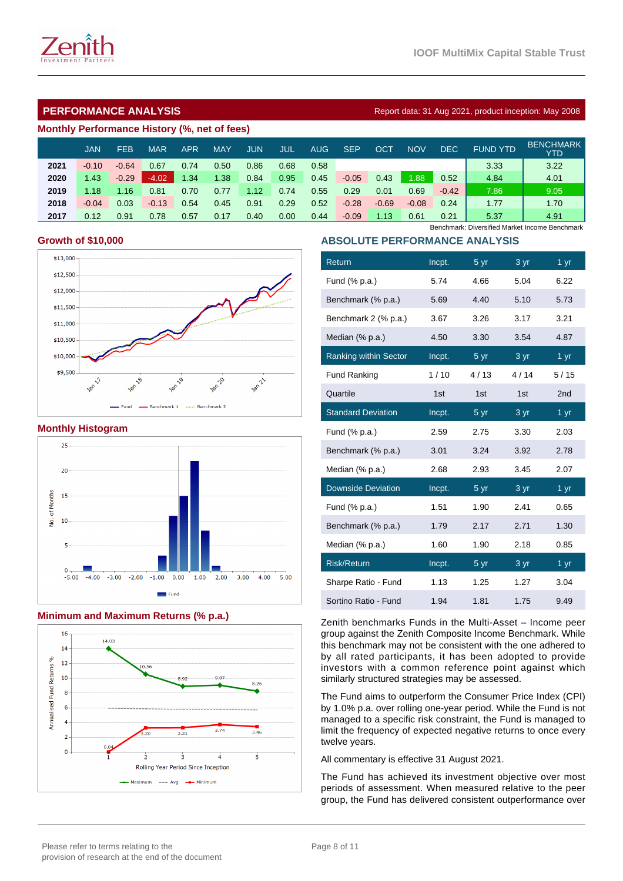

| Monthly Performance History (%, net of fees) |  |  |
|----------------------------------------------|--|--|
|                                              |  |  |

|      | <b>JAN</b> | <b>FEB</b> | <b>MAR</b> | APR  | <b>MAY</b> | JUN  | JUL  | AUG  | <b>SEP</b> | ОСТ     | <b>NOV</b> | DEC.    | <b>FUND YTD</b> | <b>BENCHMARK</b><br>YTD |
|------|------------|------------|------------|------|------------|------|------|------|------------|---------|------------|---------|-----------------|-------------------------|
| 2021 | $-0.10$    | $-0.64$    | 0.67       | 0.74 | 0.50       | 0.86 | 0.68 | 0.58 |            |         |            |         | 3.33            | 3.22                    |
| 2020 | 1.43       | $-0.29$    | $-4.02$    | 1.34 | 1.38       | 0.84 | 0.95 | 0.45 | $-0.05$    | 0.43    | 1.88       | 0.52    | 4.84            | 4.01                    |
| 2019 | 1.18       | 1.16       | 0.81       | 0.70 | 0.77       | 1.12 | 0.74 | 0.55 | 0.29       | 0.01    | 0.69       | $-0.42$ | 7.86            | 9.05                    |
| 2018 | $-0.04$    | 0.03       | $-0.13$    | 0.54 | 0.45       | 0.91 | 0.29 | 0.52 | $-0.28$    | $-0.69$ | $-0.08$    | 0.24    | 1.77            | 1.70                    |
| 2017 | 0.12       | 0.91       | 0.78       | 0.57 | 0.17       | 0.40 | 0.00 | 0.44 | $-0.09$    | 1.13    | 0.61       | 0.21    | 5.37            | 4.91                    |

## **Growth of \$10,000**



**Monthly Histogram**



# **Minimum and Maximum Returns (% p.a.)**



Benchmark: Diversified Market Income Benchmark

# **ABSOLUTE PERFORMANCE ANALYSIS**

| Return                       | Incpt. | 5 yr            | 3 yr | $1 \,\mathrm{yr}$ |
|------------------------------|--------|-----------------|------|-------------------|
| Fund (% p.a.)                | 5.74   | 4.66            | 5.04 | 6.22              |
| Benchmark (% p.a.)           | 5.69   | 4.40            | 5.10 | 5.73              |
| Benchmark 2 (% p.a.)         | 3.67   | 3.26            | 3.17 | 3.21              |
| Median (% p.a.)              | 4.50   | 3.30            | 3.54 | 4.87              |
| <b>Ranking within Sector</b> | Incpt. | 5 <sub>yr</sub> | 3 yr | 1 <sub>yr</sub>   |
| <b>Fund Ranking</b>          | 1/10   | 4/13            | 4/14 | 5/15              |
| Quartile                     | 1st    | 1st             | 1st  | 2 <sub>nd</sub>   |
| <b>Standard Deviation</b>    | Incpt. | 5 yr            | 3 yr | 1 yr              |
| Fund (% p.a.)                | 2.59   | 2.75            | 3.30 | 2.03              |
| Benchmark (% p.a.)           | 3.01   | 3.24            | 3.92 | 2.78              |
| Median (% p.a.)              | 2.68   | 2.93            | 3.45 | 2.07              |
| <b>Downside Deviation</b>    | Incpt. | 5 <sub>yr</sub> | 3 yr | 1 <sub>yr</sub>   |
| Fund (% p.a.)                | 1.51   | 1.90            | 2.41 | 0.65              |
| Benchmark (% p.a.)           | 1.79   | 2.17            | 2.71 | 1.30              |
| Median (% p.a.)              | 1.60   | 1.90            | 2.18 | 0.85              |
| <b>Risk/Return</b>           | Incpt. | 5yr             | 3 yr | 1 <sub>yr</sub>   |
| Sharpe Ratio - Fund          | 1.13   | 1.25            | 1.27 | 3.04              |
| Sortino Ratio - Fund         | 1.94   | 1.81            | 1.75 | 9.49              |

Zenith benchmarks Funds in the Multi-Asset – Income peer group against the Zenith Composite Income Benchmark. While this benchmark may not be consistent with the one adhered to by all rated participants, it has been adopted to provide investors with a common reference point against which similarly structured strategies may be assessed.

The Fund aims to outperform the Consumer Price Index (CPI) by 1.0% p.a. over rolling one-year period. While the Fund is not managed to a specific risk constraint, the Fund is managed to limit the frequency of expected negative returns to once every twelve years.

All commentary is effective 31 August 2021.

The Fund has achieved its investment objective over most periods of assessment. When measured relative to the peer group, the Fund has delivered consistent outperformance over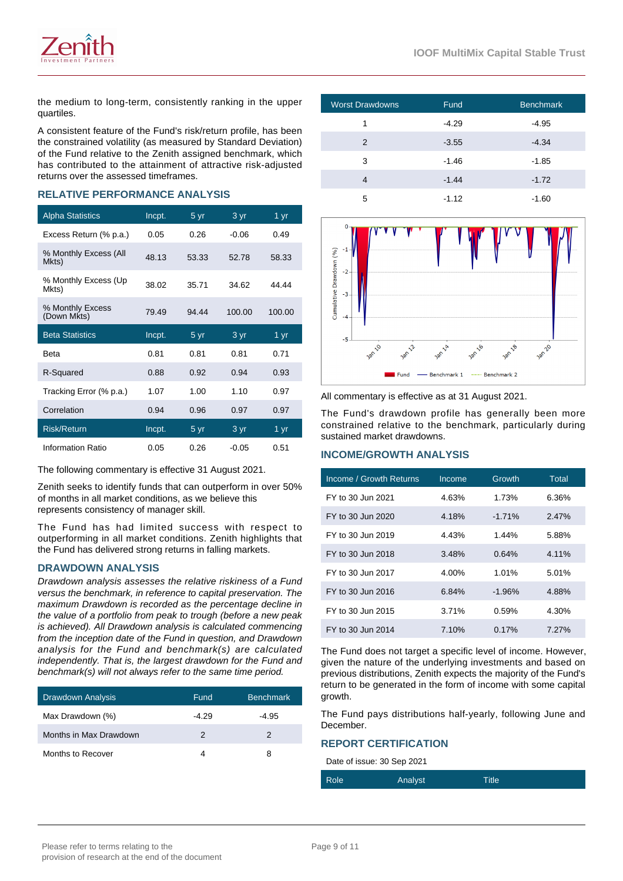

the medium to long-term, consistently ranking in the upper quartiles.

A consistent feature of the Fund's risk/return profile, has been the constrained volatility (as measured by Standard Deviation) of the Fund relative to the Zenith assigned benchmark, which has contributed to the attainment of attractive risk-adjusted returns over the assessed timeframes.

## **RELATIVE PERFORMANCE ANALYSIS**

| <b>Alpha Statistics</b>         | Incpt. | 5 yr  | 3 yr              | 1 $yr$ |
|---------------------------------|--------|-------|-------------------|--------|
| Excess Return (% p.a.)          | 0.05   | 0.26  | $-0.06$           | 0.49   |
| % Monthly Excess (All<br>Mkts)  | 48.13  | 53.33 | 52.78             | 58.33  |
| % Monthly Excess (Up<br>Mkts)   | 38.02  | 35.71 | 34.62             | 44.44  |
| % Monthly Excess<br>(Down Mkts) | 79.49  | 94.44 | 100.00            | 100.00 |
| <b>Beta Statistics</b>          | Incpt. | 5 yr  | 3 yr              | 1 $yr$ |
| <b>Beta</b>                     | 0.81   | 0.81  | 0.81              | 0.71   |
| R-Squared                       | 0.88   | 0.92  | 0.94              | 0.93   |
| Tracking Error (% p.a.)         | 1.07   | 1.00  | 1.10              | 0.97   |
| Correlation                     | 0.94   | 0.96  | 0.97              | 0.97   |
| <b>Risk/Return</b>              | Incpt. | 5 yr  | $3 \overline{yr}$ | 1 yr   |
| Information Ratio               | 0.05   | 0.26  | $-0.05$           | 0.51   |

The following commentary is effective 31 August 2021.

Zenith seeks to identify funds that can outperform in over 50% of months in all market conditions, as we believe this represents consistency of manager skill.

The Fund has had limited success with respect to outperforming in all market conditions. Zenith highlights that the Fund has delivered strong returns in falling markets.

#### **DRAWDOWN ANALYSIS**

Drawdown analysis assesses the relative riskiness of a Fund versus the benchmark, in reference to capital preservation. The maximum Drawdown is recorded as the percentage decline in the value of a portfolio from peak to trough (before a new peak is achieved). All Drawdown analysis is calculated commencing from the inception date of the Fund in question, and Drawdown analysis for the Fund and benchmark(s) are calculated independently. That is, the largest drawdown for the Fund and benchmark(s) will not always refer to the same time period.

| Drawdown Analysis      | Fund    | <b>Benchmark</b> |
|------------------------|---------|------------------|
| Max Drawdown (%)       | $-4.29$ | -4.95            |
| Months in Max Drawdown | 2       | 2                |
| Months to Recover      |         | 8                |

| <b>Worst Drawdowns</b> | Fund    | <b>Benchmark</b> |
|------------------------|---------|------------------|
| 1                      | $-4.29$ | $-4.95$          |
| 2                      | $-3.55$ | $-4.34$          |
| 3                      | $-1.46$ | $-1.85$          |
| 4                      | $-1.44$ | $-1.72$          |
| 5                      | $-1.12$ | -1.60            |



All commentary is effective as at 31 August 2021.

The Fund's drawdown profile has generally been more constrained relative to the benchmark, particularly during sustained market drawdowns.

# **INCOME/GROWTH ANALYSIS**

| Income / Growth Returns | Income | Growth    | <b>Total</b> |
|-------------------------|--------|-----------|--------------|
| FY to 30 Jun 2021       | 4.63%  | 1.73%     | 6.36%        |
| FY to 30 Jun 2020       | 4.18%  | $-1.71\%$ | 2.47%        |
| FY to 30 Jun 2019       | 4.43%  | 1.44%     | 5.88%        |
| FY to 30 Jun 2018       | 3.48%  | 0.64%     | 4.11%        |
| FY to 30 Jun 2017       | 4.00%  | 1.01%     | 5.01%        |
| FY to 30 Jun 2016       | 6.84%  | $-1.96%$  | 4.88%        |
| FY to 30 Jun 2015       | 3.71%  | 0.59%     | 4.30%        |
| FY to 30 Jun 2014       | 7.10%  | 0.17%     | 7.27%        |

The Fund does not target a specific level of income. However, given the nature of the underlying investments and based on previous distributions, Zenith expects the majority of the Fund's return to be generated in the form of income with some capital growth

The Fund pays distributions half-yearly, following June and December.

#### **REPORT CERTIFICATION**

Date of issue: 30 Sep 2021

| Role | <b>Analyst</b> | <b>Title</b> |  |
|------|----------------|--------------|--|
|------|----------------|--------------|--|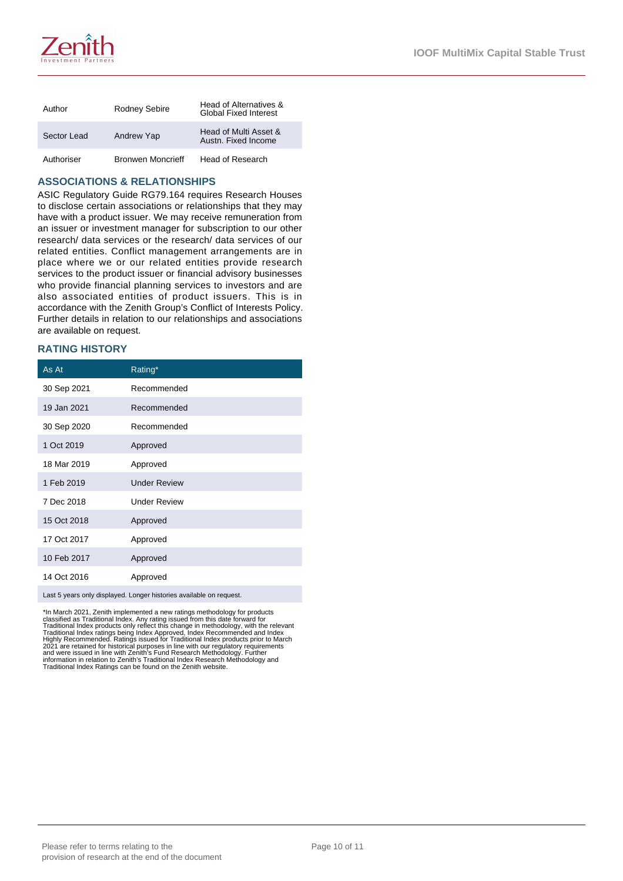

| Author      | Rodney Sebire            | Head of Alternatives &<br><b>Global Fixed Interest</b> |
|-------------|--------------------------|--------------------------------------------------------|
| Sector Lead | Andrew Yap               | Head of Multi Asset &<br>Austn. Fixed Income           |
| Authoriser  | <b>Bronwen Moncrieff</b> | Head of Research                                       |

#### **ASSOCIATIONS & RELATIONSHIPS**

ASIC Regulatory Guide RG79.164 requires Research Houses to disclose certain associations or relationships that they may have with a product issuer. We may receive remuneration from an issuer or investment manager for subscription to our other research/ data services or the research/ data services of our related entities. Conflict management arrangements are in place where we or our related entities provide research services to the product issuer or financial advisory businesses who provide financial planning services to investors and are also associated entities of product issuers. This is in accordance with the Zenith Group's Conflict of Interests Policy. Further details in relation to our relationships and associations are available on request.

# **RATING HISTORY**

| As At                                                               | Rating*             |  |
|---------------------------------------------------------------------|---------------------|--|
| 30 Sep 2021                                                         | Recommended         |  |
| 19 Jan 2021                                                         | Recommended         |  |
| 30 Sep 2020                                                         | Recommended         |  |
| 1 Oct 2019                                                          | Approved            |  |
| 18 Mar 2019                                                         | Approved            |  |
| 1 Feb 2019                                                          | <b>Under Review</b> |  |
| 7 Dec 2018                                                          | <b>Under Review</b> |  |
| 15 Oct 2018                                                         | Approved            |  |
| 17 Oct 2017                                                         | Approved            |  |
| 10 Feb 2017                                                         | Approved            |  |
| 14 Oct 2016                                                         | Approved            |  |
| Last 5 years only displayed. Longer histories available on request. |                     |  |

\*In March 2021, Zenith implemented a new ratings methodology for products<br>classified as Traditional Index. Any rating issued from this date forward for<br>Traditional Index products only reflect this change in methodology, wi information in relation to Zenith's Traditional Index Research Methodology and Traditional Index Ratings can be found on the Zenith website.